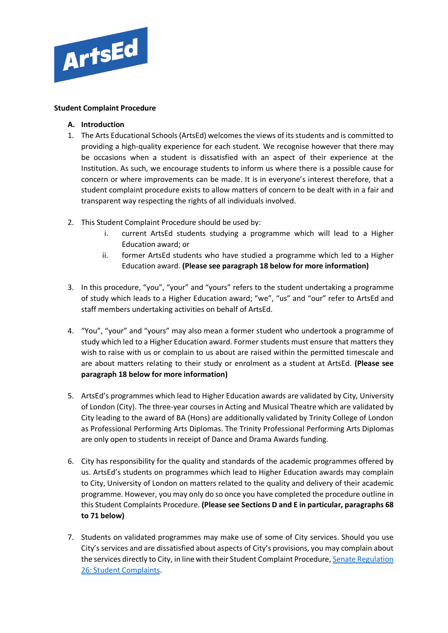

### **Student Complaint Procedure**

- **A. Introduction**
- 1. The Arts Educational Schools (ArtsEd) welcomes the views of its students and is committed to providing a high-quality experience for each student. We recognise however that there may be occasions when a student is dissatisfied with an aspect of their experience at the Institution. As such, we encourage students to inform us where there is a possible cause for concern or where improvements can be made. It is in everyone's interest therefore, that a student complaint procedure exists to allow matters of concern to be dealt with in a fair and transparent way respecting the rights of all individuals involved.
- 2. This Student Complaint Procedure should be used by:
	- i. current ArtsEd students studying a programme which will lead to a Higher Education award; or
	- ii. former ArtsEd students who have studied a programme which led to a Higher Education award. **(Please see paragraph 18 below for more information)**
- 3. In this procedure, "you", "your" and "yours" refers to the student undertaking a programme of study which leads to a Higher Education award; "we", "us" and "our" refer to ArtsEd and staff members undertaking activities on behalf of ArtsEd.
- 4. "You", "your" and "yours" may also mean a former student who undertook a programme of study which led to a Higher Education award. Former students must ensure that matters they wish to raise with us or complain to us about are raised within the permitted timescale and are about matters relating to their study or enrolment as a student at ArtsEd. **(Please see paragraph 18 below for more information)**
- 5. ArtsEd's programmes which lead to Higher Education awards are validated by City, University of London (City). The three-year courses in Acting and Musical Theatre which are validated by City leading to the award of BA (Hons) are additionally validated by Trinity College of London as Professional Performing Arts Diplomas. The Trinity Professional Performing Arts Diplomas are only open to students in receipt of Dance and Drama Awards funding.
- 6. City has responsibility for the quality and standards of the academic programmes offered by us. ArtsEd's students on programmes which lead to Higher Education awards may complain to City, University of London on matters related to the quality and delivery of their academic programme. However, you may only do so once you have completed the procedure outline in this Student Complaints Procedure. **(Please see Sections D and E in particular, paragraphs 68 to 71 below)**
- 7. Students on validated programmes may make use of some of City services. Should you use City's services and are dissatisfied about aspects of City's provisions, you may complain about the services directly to City, in line with their Student Complaint Procedure[, Senate Regulation](https://www.city.ac.uk/__data/assets/pdf_file/0009/566658/Senate_Regulation_26_Student_Complaints_20201007.pdf)  [26: Student Complaints.](https://www.city.ac.uk/__data/assets/pdf_file/0009/566658/Senate_Regulation_26_Student_Complaints_20201007.pdf)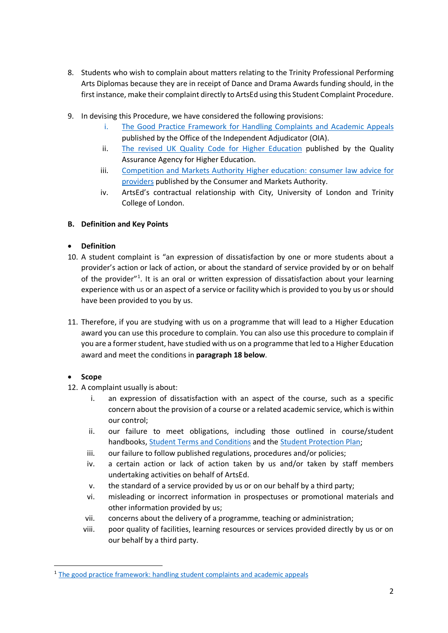- 8. Students who wish to complain about matters relating to the Trinity Professional Performing Arts Diplomas because they are in receipt of Dance and Drama Awards funding should, in the first instance, make their complaint directly to ArtsEd using this Student Complaint Procedure.
- 9. In devising this Procedure, we have considered the following provisions:
	- i. [The Good Practice Framework for Handling Complaints and Academic Appeals](https://www.oiahe.org.uk/resources-and-publications/good-practice-framework/) published by the Office of the Independent Adjudicator (OIA).
	- ii. [The revised UK Quality Code for Higher Education](https://www.qaa.ac.uk/quality-code) published by the Quality Assurance Agency for Higher Education.
	- iii. [Competition and Markets Authority Higher education: consumer law advice for](https://assets.publishing.service.gov.uk/government/uploads/system/uploads/attachment_data/file/428549/HE_providers_-_advice_on_consumer_protection_law.pdf)  [providers](https://assets.publishing.service.gov.uk/government/uploads/system/uploads/attachment_data/file/428549/HE_providers_-_advice_on_consumer_protection_law.pdf) published by the Consumer and Markets Authority.
	- iv. ArtsEd's contractual relationship with City, University of London and Trinity College of London.

# **B. Definition and Key Points**

### • **Definition**

- 10. A student complaint is "an expression of dissatisfaction by one or more students about a provider's action or lack of action, or about the standard of service provided by or on behalf of the provider"<sup>[1](#page-1-0)</sup>. It is an oral or written expression of dissatisfaction about your learning experience with us or an aspect of a service or facility which is provided to you by us or should have been provided to you by us.
- 11. Therefore, if you are studying with us on a programme that will lead to a Higher Education award you can use this procedure to complain. You can also use this procedure to complain if you are a former student, have studied with us on a programme that led to a Higher Education award and meet the conditions in **paragraph 18 below**.

# • **Scope**

- 12. A complaint usually is about:
	- i. an expression of dissatisfaction with an aspect of the course, such as a specific concern about the provision of a course or a related academic service, which is within our control;
	- ii. our failure to meet obligations, including those outlined in course/student handbooks, [Student Terms and Conditions](https://artsed003.blob.core.windows.net/policy/student-terms-and-conditions.pdf) and the [Student Protection Plan;](https://artsed003.blob.core.windows.net/policy/student-protection-plan.pdf)
	- iii. our failure to follow published regulations, procedures and/or policies;
	- iv. a certain action or lack of action taken by us and/or taken by staff members undertaking activities on behalf of ArtsEd.
	- v. the standard of a service provided by us or on our behalf by a third party;
	- vi. misleading or incorrect information in prospectuses or promotional materials and other information provided by us;
	- vii. concerns about the delivery of a programme, teaching or administration;
	- viii. poor quality of facilities, learning resources or services provided directly by us or on our behalf by a third party.

<span id="page-1-0"></span><sup>&</sup>lt;sup>1</sup> [The good practice framework: handling student complaints and academic appeals](https://www.oiahe.org.uk/resources-and-publications/good-practice-framework/)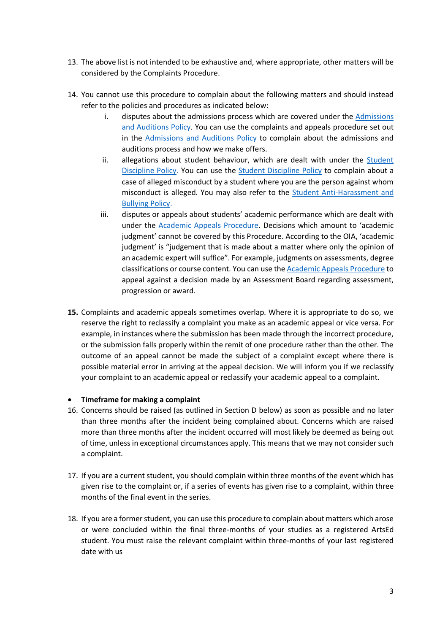- 13. The above list is not intended to be exhaustive and, where appropriate, other matters will be considered by the Complaints Procedure.
- 14. You cannot use this procedure to complain about the following matters and should instead refer to the policies and procedures as indicated below:
	- i. disputes about the admissions process which are covered under the [Admissions](https://artsed003.blob.core.windows.net/policy/admissions-policy.pdf)  [and Auditions Policy.](https://artsed003.blob.core.windows.net/policy/admissions-policy.pdf) You can use the complaints and appeals procedure set out in the [Admissions and Auditions Policy](https://artsed003.blob.core.windows.net/policy/admissions-policy.pdf) to complain about the admissions and auditions process and how we make offers.
	- ii. allegations about student behaviour, which are dealt with under the Student [Discipline Policy.](https://artsed003.blob.core.windows.net/policy/student-discipline-policy.pdf) You can use the [Student Discipline Policy](https://artsed003.blob.core.windows.net/policy/student-discipline-policy.pdf) to complain about a case of alleged misconduct by a student where you are the person against whom misconduct is alleged. You may also refer to the **Student Anti-Harassment and** [Bullying Policy.](https://artsed003.blob.core.windows.net/policy/anti-bullying-policy.pdf)
	- iii. disputes or appeals about students' academic performance which are dealt with under the [Academic Appeals Procedure.](https://artsed003.blob.core.windows.net/policy/academic-appeals-procedure.pdf) Decisions which amount to 'academic judgment' cannot be covered by this Procedure. According to the OIA, 'academic judgment' is "judgement that is made about a matter where only the opinion of an academic expert will suffice". For example, judgments on assessments, degree classifications or course content. You can use the [Academic Appeals Procedure](https://artsed003.blob.core.windows.net/policy/academic-appeals-procedure.pdf) to appeal against a decision made by an Assessment Board regarding assessment, progression or award.
- **15.** Complaints and academic appeals sometimes overlap. Where it is appropriate to do so, we reserve the right to reclassify a complaint you make as an academic appeal or vice versa. For example, in instances where the submission has been made through the incorrect procedure, or the submission falls properly within the remit of one procedure rather than the other. The outcome of an appeal cannot be made the subject of a complaint except where there is possible material error in arriving at the appeal decision. We will inform you if we reclassify your complaint to an academic appeal or reclassify your academic appeal to a complaint.

### • **Timeframe for making a complaint**

- 16. Concerns should be raised (as outlined in Section D below) as soon as possible and no later than three months after the incident being complained about. Concerns which are raised more than three months after the incident occurred will most likely be deemed as being out of time, unless in exceptional circumstances apply. This means that we may not consider such a complaint.
- 17. If you are a current student, you should complain within three months of the event which has given rise to the complaint or, if a series of events has given rise to a complaint, within three months of the final event in the series.
- 18. If you are a former student, you can use this procedure to complain about matters which arose or were concluded within the final three-months of your studies as a registered ArtsEd student. You must raise the relevant complaint within three-months of your last registered date with us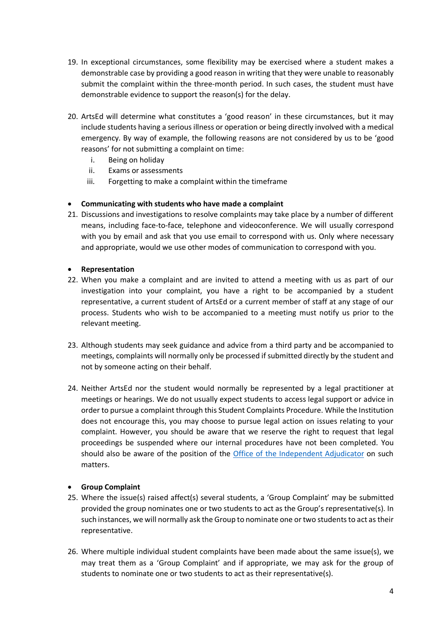- 19. In exceptional circumstances, some flexibility may be exercised where a student makes a demonstrable case by providing a good reason in writing that they were unable to reasonably submit the complaint within the three-month period. In such cases, the student must have demonstrable evidence to support the reason(s) for the delay.
- 20. ArtsEd will determine what constitutes a 'good reason' in these circumstances, but it may include students having a serious illness or operation or being directly involved with a medical emergency. By way of example, the following reasons are not considered by us to be 'good reasons' for not submitting a complaint on time:
	- i. Being on holiday
	- ii. Exams or assessments
	- iii. Forgetting to make a complaint within the timeframe

# • **Communicating with students who have made a complaint**

21. Discussions and investigations to resolve complaints may take place by a number of different means, including face-to-face, telephone and videoconference. We will usually correspond with you by email and ask that you use email to correspond with us. Only where necessary and appropriate, would we use other modes of communication to correspond with you.

### • **Representation**

- 22. When you make a complaint and are invited to attend a meeting with us as part of our investigation into your complaint, you have a right to be accompanied by a student representative, a current student of ArtsEd or a current member of staff at any stage of our process. Students who wish to be accompanied to a meeting must notify us prior to the relevant meeting.
- 23. Although students may seek guidance and advice from a third party and be accompanied to meetings, complaints will normally only be processed if submitted directly by the student and not by someone acting on their behalf.
- 24. Neither ArtsEd nor the student would normally be represented by a legal practitioner at meetings or hearings. We do not usually expect students to access legal support or advice in order to pursue a complaint through this Student Complaints Procedure. While the Institution does not encourage this, you may choose to pursue legal action on issues relating to your complaint. However, you should be aware that we reserve the right to request that legal proceedings be suspended where our internal procedures have not been completed. You should also be aware of the position of the [Office of the Independent Adjudicator](https://www.oiahe.org.uk/resources-and-publications/good-practice-framework/) on such matters.

### • **Group Complaint**

- 25. Where the issue(s) raised affect(s) several students, a 'Group Complaint' may be submitted provided the group nominates one or two students to act as the Group's representative(s). In such instances, we will normally ask the Group to nominate one or two students to act as their representative.
- 26. Where multiple individual student complaints have been made about the same issue(s), we may treat them as a 'Group Complaint' and if appropriate, we may ask for the group of students to nominate one or two students to act as their representative(s).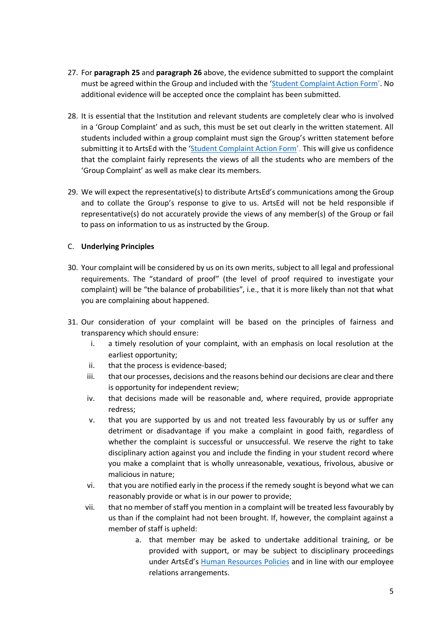- 27. For **paragraph 25** and **paragraph 26** above, the evidence submitted to support the complaint must be agreed within the Group and included with the ['Student Complaint Action Form'](https://artsed.qualtrics.com/jfe/form/SV_cHG5d9BhJxN9xC6). No additional evidence will be accepted once the complaint has been submitted.
- 28. It is essential that the Institution and relevant students are completely clear who is involved in a 'Group Complaint' and as such, this must be set out clearly in the written statement. All students included within a group complaint must sign the Group's written statement before submitting it to ArtsEd with the ['Student Complaint Action Form'](https://artsed.qualtrics.com/jfe/form/SV_cHG5d9BhJxN9xC6). This will give us confidence that the complaint fairly represents the views of all the students who are members of the 'Group Complaint' as well as make clear its members.
- 29. We will expect the representative(s) to distribute ArtsEd's communications among the Group and to collate the Group's response to give to us. ArtsEd will not be held responsible if representative(s) do not accurately provide the views of any member(s) of the Group or fail to pass on information to us as instructed by the Group.

### C. **Underlying Principles**

- 30. Your complaint will be considered by us on its own merits, subject to all legal and professional requirements. The "standard of proof" (the level of proof required to investigate your complaint) will be "the balance of probabilities", i.e., that it is more likely than not that what you are complaining about happened.
- 31. Our consideration of your complaint will be based on the principles of fairness and transparency which should ensure:
	- i. a timely resolution of your complaint, with an emphasis on local resolution at the earliest opportunity;
	- ii. that the process is evidence-based;
	- iii. that our processes, decisions and the reasons behind our decisions are clear and there is opportunity for independent review;
	- iv. that decisions made will be reasonable and, where required, provide appropriate redress;
	- v. that you are supported by us and not treated less favourably by us or suffer any detriment or disadvantage if you make a complaint in good faith, regardless of whether the complaint is successful or unsuccessful. We reserve the right to take disciplinary action against you and include the finding in your student record where you make a complaint that is wholly unreasonable, vexatious, frivolous, abusive or malicious in nature;
	- vi. that you are notified early in the process if the remedy sought is beyond what we can reasonably provide or what is in our power to provide;
	- vii. that no member of staff you mention in a complaint will be treated less favourably by us than if the complaint had not been brought. If, however, the complaint against a member of staff is upheld:
		- a. that member may be asked to undertake additional training, or be provided with support, or may be subject to disciplinary proceedings under ArtsEd's [Human Resources Policies](https://artsed.co.uk/about-us/policies/) and in line with our employee relations arrangements.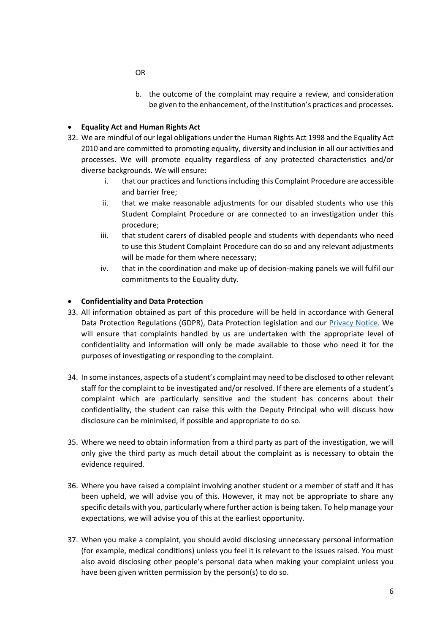b. the outcome of the complaint may require a review, and consideration be given to the enhancement, of the Institution's practices and processes.

### • **Equality Act and Human Rights Act**

- 32. We are mindful of our legal obligations under the Human Rights Act 1998 and the Equality Act 2010 and are committed to promoting equality, diversity and inclusion in all our activities and processes. We will promote equality regardless of any protected characteristics and/or diverse backgrounds. We will ensure:
	- i. that our practices and functions including this Complaint Procedure are accessible and barrier free;
	- ii. that we make reasonable adjustments for our disabled students who use this Student Complaint Procedure or are connected to an investigation under this procedure;
	- iii. that student carers of disabled people and students with dependants who need to use this Student Complaint Procedure can do so and any relevant adjustments will be made for them where necessary;
	- iv. that in the coordination and make up of decision-making panels we will fulfil our commitments to the Equality duty.

### • **Confidentiality and Data Protection**

- 33. All information obtained as part of this procedure will be held in accordance with General Data Protection Regulations (GDPR), Data Protection legislation and our [Privacy Notice.](https://artsed003.blob.core.windows.net/policy/privacy-notice.pdf) We will ensure that complaints handled by us are undertaken with the appropriate level of confidentiality and information will only be made available to those who need it for the purposes of investigating or responding to the complaint.
- 34. In some instances, aspects of a student's complaint may need to be disclosed to other relevant staff for the complaint to be investigated and/or resolved. If there are elements of a student's complaint which are particularly sensitive and the student has concerns about their confidentiality, the student can raise this with the Deputy Principal who will discuss how disclosure can be minimised, if possible and appropriate to do so.
- 35. Where we need to obtain information from a third party as part of the investigation, we will only give the third party as much detail about the complaint as is necessary to obtain the evidence required.
- 36. Where you have raised a complaint involving another student or a member of staff and it has been upheld, we will advise you of this. However, it may not be appropriate to share any specific details with you, particularly where further action is being taken. To help manage your expectations, we will advise you of this at the earliest opportunity.
- 37. When you make a complaint, you should avoid disclosing unnecessary personal information (for example, medical conditions) unless you feel it is relevant to the issues raised. You must also avoid disclosing other people's personal data when making your complaint unless you have been given written permission by the person(s) to do so.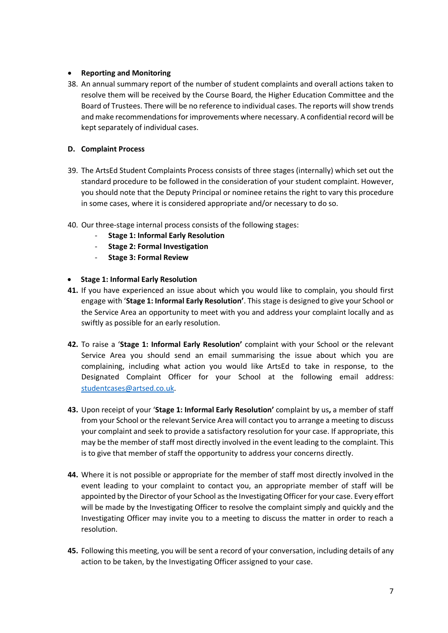### • **Reporting and Monitoring**

38. An annual summary report of the number of student complaints and overall actions taken to resolve them will be received by the Course Board, the Higher Education Committee and the Board of Trustees. There will be no reference to individual cases. The reports will show trends and make recommendations for improvements where necessary. A confidential record will be kept separately of individual cases.

### **D. Complaint Process**

- 39. The ArtsEd Student Complaints Process consists of three stages (internally) which set out the standard procedure to be followed in the consideration of your student complaint. However, you should note that the Deputy Principal or nominee retains the right to vary this procedure in some cases, where it is considered appropriate and/or necessary to do so.
- 40. Our three-stage internal process consists of the following stages:
	- **Stage 1: Informal Early Resolution**
	- **Stage 2: Formal Investigation**
	- **Stage 3: Formal Review**

### • **Stage 1: Informal Early Resolution**

- **41.** If you have experienced an issue about which you would like to complain, you should first engage with '**Stage 1: Informal Early Resolution'**. This stage is designed to give your School or the Service Area an opportunity to meet with you and address your complaint locally and as swiftly as possible for an early resolution.
- **42.** To raise a '**Stage 1: Informal Early Resolution'** complaint with your School or the relevant Service Area you should send an email summarising the issue about which you are complaining, including what action you would like ArtsEd to take in response, to the Designated Complaint Officer for your School at the following email address: [studentcases@artsed.co.uk.](mailto:studentcases@artsed.co.uk)
- **43.** Upon receipt of your '**Stage 1: Informal Early Resolution'** complaint by us**,** a member of staff from your School or the relevant Service Area will contact you to arrange a meeting to discuss your complaint and seek to provide a satisfactory resolution for your case. If appropriate, this may be the member of staff most directly involved in the event leading to the complaint. This is to give that member of staff the opportunity to address your concerns directly.
- **44.** Where it is not possible or appropriate for the member of staff most directly involved in the event leading to your complaint to contact you, an appropriate member of staff will be appointed by the Director of your School as the Investigating Officer for your case. Every effort will be made by the Investigating Officer to resolve the complaint simply and quickly and the Investigating Officer may invite you to a meeting to discuss the matter in order to reach a resolution.
- **45.** Following this meeting, you will be sent a record of your conversation, including details of any action to be taken, by the Investigating Officer assigned to your case.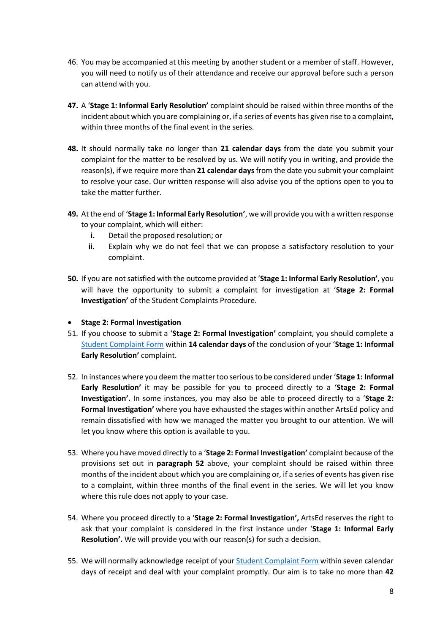- 46. You may be accompanied at this meeting by another student or a member of staff. However, you will need to notify us of their attendance and receive our approval before such a person can attend with you.
- **47.** A '**Stage 1: Informal Early Resolution'** complaint should be raised within three months of the incident about which you are complaining or, if a series of events has given rise to a complaint, within three months of the final event in the series.
- **48.** It should normally take no longer than **21 calendar days** from the date you submit your complaint for the matter to be resolved by us. We will notify you in writing, and provide the reason(s), if we require more than **21 calendar days**from the date you submit your complaint to resolve your case. Our written response will also advise you of the options open to you to take the matter further.
- **49.** At the end of '**Stage 1: Informal Early Resolution'**, we will provide you with a written response to your complaint, which will either:
	- **i.** Detail the proposed resolution; or
	- **ii.** Explain why we do not feel that we can propose a satisfactory resolution to your complaint.
- **50.** If you are not satisfied with the outcome provided at '**Stage 1: Informal Early Resolution'**, you will have the opportunity to submit a complaint for investigation at '**Stage 2: Formal Investigation'** of the Student Complaints Procedure.
- **Stage 2: Formal Investigation**
- 51. If you choose to submit a '**Stage 2: Formal Investigation'** complaint, you should complete a [Student Complaint Form](https://artsed.qualtrics.com/jfe/form/SV_3UyA7b6qau2uXKC) within **14 calendar days** of the conclusion of your '**Stage 1: Informal Early Resolution'** complaint.
- 52. In instances where you deem the matter too serious to be considered under '**Stage 1: Informal Early Resolution'** it may be possible for you to proceed directly to a '**Stage 2: Formal Investigation'.** In some instances, you may also be able to proceed directly to a '**Stage 2: Formal Investigation'** where you have exhausted the stages within another ArtsEd policy and remain dissatisfied with how we managed the matter you brought to our attention. We will let you know where this option is available to you.
- 53. Where you have moved directly to a '**Stage 2: Formal Investigation'** complaint because of the provisions set out in **paragraph 52** above, your complaint should be raised within three months of the incident about which you are complaining or, if a series of events has given rise to a complaint, within three months of the final event in the series. We will let you know where this rule does not apply to your case.
- 54. Where you proceed directly to a '**Stage 2: Formal Investigation',** ArtsEd reserves the right to ask that your complaint is considered in the first instance under '**Stage 1: Informal Early Resolution'.** We will provide you with our reason(s) for such a decision.
- 55. We will normally acknowledge receipt of your [Student Complaint Form](https://artsed.qualtrics.com/jfe/form/SV_3UyA7b6qau2uXKC) within seven calendar days of receipt and deal with your complaint promptly. Our aim is to take no more than **42**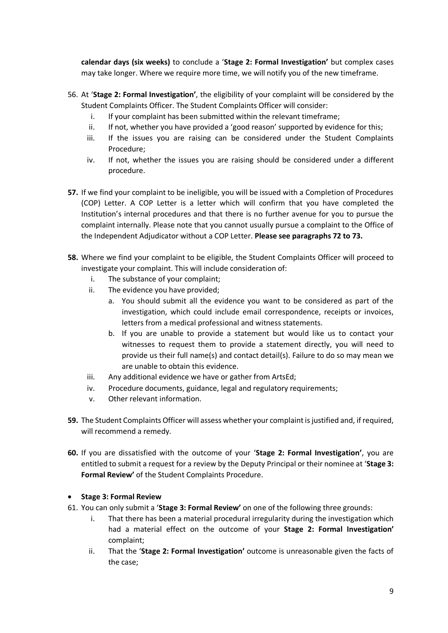**calendar days (six weeks)** to conclude a '**Stage 2: Formal Investigation'** but complex cases may take longer. Where we require more time, we will notify you of the new timeframe.

- 56. At '**Stage 2: Formal Investigation'**, the eligibility of your complaint will be considered by the Student Complaints Officer. The Student Complaints Officer will consider:
	- i. If your complaint has been submitted within the relevant timeframe;
	- ii. If not, whether you have provided a 'good reason' supported by evidence for this;
	- iii. If the issues you are raising can be considered under the Student Complaints Procedure;
	- iv. If not, whether the issues you are raising should be considered under a different procedure.
- **57.** If we find your complaint to be ineligible, you will be issued with a Completion of Procedures (COP) Letter. A COP Letter is a letter which will confirm that you have completed the Institution's internal procedures and that there is no further avenue for you to pursue the complaint internally. Please note that you cannot usually pursue a complaint to the Office of the Independent Adjudicator without a COP Letter. **Please see paragraphs 72 to 73.**
- **58.** Where we find your complaint to be eligible, the Student Complaints Officer will proceed to investigate your complaint. This will include consideration of:
	- i. The substance of your complaint;
	- ii. The evidence you have provided;
		- a. You should submit all the evidence you want to be considered as part of the investigation, which could include email correspondence, receipts or invoices, letters from a medical professional and witness statements.
		- b. If you are unable to provide a statement but would like us to contact your witnesses to request them to provide a statement directly, you will need to provide us their full name(s) and contact detail(s). Failure to do so may mean we are unable to obtain this evidence.
	- iii. Any additional evidence we have or gather from ArtsEd;
	- iv. Procedure documents, guidance, legal and regulatory requirements;
	- v. Other relevant information.
- **59.** The Student Complaints Officer will assess whether your complaint is justified and, if required, will recommend a remedy.
- **60.** If you are dissatisfied with the outcome of your '**Stage 2: Formal Investigation'**, you are entitled to submit a request for a review by the Deputy Principal or their nominee at '**Stage 3: Formal Review'** of the Student Complaints Procedure.

### • **Stage 3: Formal Review**

- 61. You can only submit a '**Stage 3: Formal Review'** on one of the following three grounds:
	- i. That there has been a material procedural irregularity during the investigation which had a material effect on the outcome of your **Stage 2: Formal Investigation'**  complaint;
	- ii. That the '**Stage 2: Formal Investigation'** outcome is unreasonable given the facts of the case;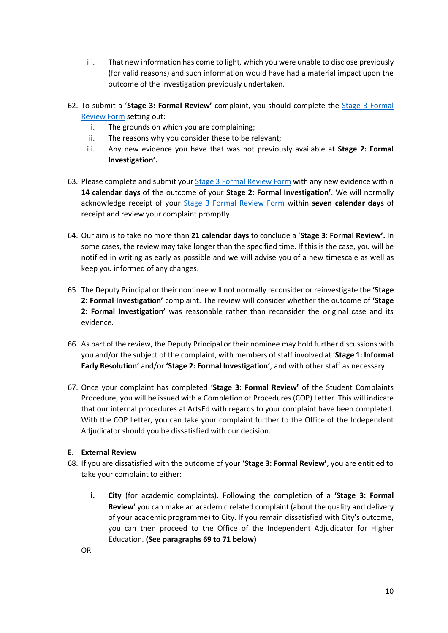- iii. That new information has come to light, which you were unable to disclose previously (for valid reasons) and such information would have had a material impact upon the outcome of the investigation previously undertaken.
- 62. To submit a '**Stage 3: Formal Review'** complaint, you should complete the [Stage 3 Formal](https://artsed.qualtrics.com/jfe/form/SV_9HyhjzxTdyJQi90)  [Review Form](https://artsed.qualtrics.com/jfe/form/SV_9HyhjzxTdyJQi90) setting out:
	- i. The grounds on which you are complaining;
	- ii. The reasons why you consider these to be relevant;
	- iii. Any new evidence you have that was not previously available at **Stage 2: Formal Investigation'.**
- 63. Please complete and submit your **[Stage 3 Formal Review Form](https://artsed.qualtrics.com/jfe/form/SV_9HyhjzxTdyJQi90)** with any new evidence within **14 calendar days** of the outcome of your **Stage 2: Formal Investigation'**. We will normally acknowledge receipt of your [Stage 3 Formal Review Form](https://artsed.qualtrics.com/jfe/form/SV_9HyhjzxTdyJQi90) within **seven calendar days** of receipt and review your complaint promptly.
- 64. Our aim is to take no more than **21 calendar days** to conclude a '**Stage 3: Formal Review'.** In some cases, the review may take longer than the specified time. If this is the case, you will be notified in writing as early as possible and we will advise you of a new timescale as well as keep you informed of any changes.
- 65. The Deputy Principal or their nominee will not normally reconsider or reinvestigate the **'Stage 2: Formal Investigation'** complaint. The review will consider whether the outcome of **'Stage 2: Formal Investigation'** was reasonable rather than reconsider the original case and its evidence.
- 66. As part of the review, the Deputy Principal or their nominee may hold further discussions with you and/or the subject of the complaint, with members of staff involved at '**Stage 1: Informal Early Resolution'** and/or **'Stage 2: Formal Investigation'**, and with other staff as necessary.
- 67. Once your complaint has completed '**Stage 3: Formal Review'** of the Student Complaints Procedure, you will be issued with a Completion of Procedures (COP) Letter. This will indicate that our internal procedures at ArtsEd with regards to your complaint have been completed. With the COP Letter, you can take your complaint further to the Office of the Independent Adjudicator should you be dissatisfied with our decision.

### **E. External Review**

- 68. If you are dissatisfied with the outcome of your '**Stage 3: Formal Review'**, you are entitled to take your complaint to either:
	- **i. City** (for academic complaints). Following the completion of a **'Stage 3: Formal Review'** you can make an academic related complaint (about the quality and delivery of your academic programme) to City. If you remain dissatisfied with City's outcome, you can then proceed to the Office of the Independent Adjudicator for Higher Education. **(See paragraphs 69 to 71 below)**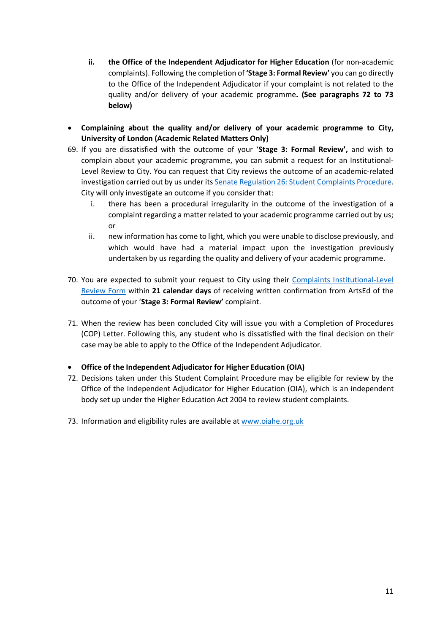- **ii. the Office of the Independent Adjudicator for Higher Education** (for non-academic complaints). Following the completion of **'Stage 3: Formal Review'** you can go directly to the Office of the Independent Adjudicator if your complaint is not related to the quality and/or delivery of your academic programme**. (See paragraphs 72 to 73 below)**
- **Complaining about the quality and/or delivery of your academic programme to City, University of London (Academic Related Matters Only)**
- 69. If you are dissatisfied with the outcome of your '**Stage 3: Formal Review',** and wish to complain about your academic programme, you can submit a request for an Institutional-Level Review to City. You can request that City reviews the outcome of an academic-related investigation carried out by us under it[s Senate Regulation 26: Student Complaints Procedure.](https://www.city.ac.uk/__data/assets/pdf_file/0009/566658/Senate_Regulation_26_Student_Complaints_20201007.pdf) City will only investigate an outcome if you consider that:
	- i. there has been a procedural irregularity in the outcome of the investigation of a complaint regarding a matter related to your academic programme carried out by us; or
	- ii. new information has come to light, which you were unable to disclose previously, and which would have had a material impact upon the investigation previously undertaken by us regarding the quality and delivery of your academic programme.
- 70. You are expected to submit your request to City using their [Complaints Institutional-Level](https://cityunilondon.eu.qualtrics.com/jfe/form/SV_a4qmguvNTU4M7EW)  [Review Form](https://cityunilondon.eu.qualtrics.com/jfe/form/SV_a4qmguvNTU4M7EW) within **21 calendar days** of receiving written confirmation from ArtsEd of the outcome of your '**Stage 3: Formal Review'** complaint.
- 71. When the review has been concluded City will issue you with a Completion of Procedures (COP) Letter. Following this, any student who is dissatisfied with the final decision on their case may be able to apply to the Office of the Independent Adjudicator.
- **Office of the Independent Adjudicator for Higher Education (OIA)**
- 72. Decisions taken under this Student Complaint Procedure may be eligible for review by the Office of the Independent Adjudicator for Higher Education (OIA), which is an independent body set up under the Higher Education Act 2004 to review student complaints.
- 73. Information and eligibility rules are available at [www.oiahe.org.uk](http://www.oiahe.org.uk/)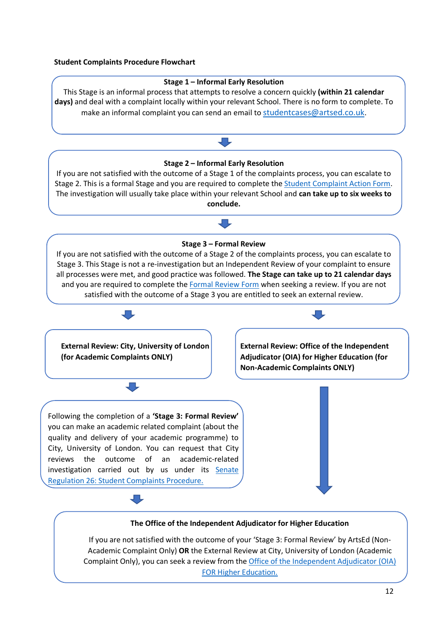#### **Student Complaints Procedure Flowchart**

#### **Stage 1 – Informal Early Resolution**

This Stage is an informal process that attempts to resolve a concern quickly **(within 21 calendar days)** and deal with a complaint locally within your relevant School. There is no form to complete. To make an informal complaint you can send an email to [studentcases@artsed.co.uk.](mailto:studentcases@artsed.co.uk)



#### **The Office of the Independent Adjudicator for Higher Education**

If you are not satisfied with the outcome of your 'Stage 3: Formal Review' by ArtsEd (Non-Academic Complaint Only) **OR** the External Review at City, University of London (Academic Complaint Only), you can seek a review from the [Office of the Independent Adjudicator \(OIA\)](http://www.oiahe.org.uk/)  [FOR Higher Education.](http://www.oiahe.org.uk/)